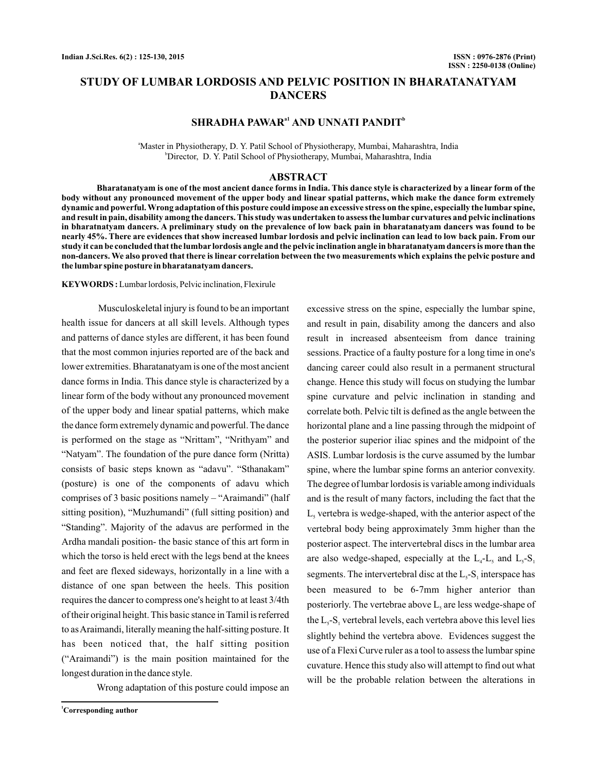# **STUDY OF LUMBAR LORDOSIS AND PELVIC POSITION IN BHARATANATYAM DANCERS**

# **SHRADHA PAWAR<sup><sup>a1</sup> AND UNNATI PANDIT<sup>b</sup>**</sup>

a Master in Physiotherapy, D. Y. Patil School of Physiotherapy, Mumbai, Maharashtra, India b Director, D. Y. Patil School of Physiotherapy, Mumbai, Maharashtra, India

#### **ABSTRACT**

**Bharatanatyam is one of the most ancient dance forms in India. This dance style is characterized by a linear form of the body without any pronounced movement of the upper body and linear spatial patterns, which make the dance form extremely dynamic and powerful. Wrong adaptation of this posture could impose an excessive stress on the spine, especially the lumbar spine, and result in pain, disability among the dancers. This study was undertaken to assess the lumbar curvatures and pelvic inclinations in bharatnatyam dancers. A preliminary study on the prevalence of low back pain in bharatanatyam dancers was found to be nearly 45%. There are evidences that show increased lumbar lordosis and pelvic inclination can lead to low back pain. From our study it can be concluded that the lumbar lordosis angle and the pelvic inclination angle in bharatanatyam dancers is more than the non-dancers. We also proved that there is linear correlation between the two measurements which explains the pelvic posture and the lumbar spine posture in bharatanatyam dancers.**

**KEYWORDS :** Lumbar lordosis, Pelvic inclination, Flexirule

Musculoskeletal injury is found to be an important health issue for dancers at all skill levels. Although types and patterns of dance styles are different, it has been found that the most common injuries reported are of the back and lower extremities. Bharatanatyam is one of the most ancient dance forms in India. This dance style is characterized by a linear form of the body without any pronounced movement of the upper body and linear spatial patterns, which make the dance form extremely dynamic and powerful. The dance is performed on the stage as "Nrittam", "Nrithyam" and "Natyam". The foundation of the pure dance form (Nritta) consists of basic steps known as "adavu". "Sthanakam" (posture) is one of the components of adavu which comprises of 3 basic positions namely – "Araimandi" (half sitting position), "Muzhumandi" (full sitting position) and "Standing". Majority of the adavus are performed in the Ardha mandali position- the basic stance of this art form in which the torso is held erect with the legs bend at the knees and feet are flexed sideways, horizontally in a line with a distance of one span between the heels. This position requires the dancer to compress one's height to at least 3/4th of their original height. This basic stance in Tamil is referred to asAraimandi, literally meaning the half-sitting posture. It has been noticed that, the half sitting position ("Araimandi") is the main position maintained for the longest duration in the dance style.

Wrong adaptation of this posture could impose an

and result in pain, disability among the dancers and also result in increased absenteeism from dance training sessions. Practice of a faulty posture for a long time in one's dancing career could also result in a permanent structural change. Hence this study will focus on studying the lumbar spine curvature and pelvic inclination in standing and correlate both. Pelvic tilt is defined as the angle between the horizontal plane and a line passing through the midpoint of the posterior superior iliac spines and the midpoint of the ASIS. Lumbar lordosis is the curve assumed by the lumbar spine, where the lumbar spine forms an anterior convexity. The degree of lumbar lordosis is variable among individuals and is the result of many factors, including the fact that the  $L<sub>s</sub>$  vertebra is wedge-shaped, with the anterior aspect of the vertebral body being approximately 3mm higher than the posterior aspect. The intervertebral discs in the lumbar area are also wedge-shaped, especially at the  $L_4$ - $L_5$  and  $L_5$ - $S_1$ segments. The intervertebral disc at the  $L<sub>5</sub>$ -S<sub>1</sub> interspace has been measured to be 6-7mm higher anterior than posteriorly. The vertebrae above  $L<sub>s</sub>$  are less wedge-shape of the  $L_s$ -S<sub>1</sub> vertebral levels, each vertebra above this level lies slightly behind the vertebra above. Evidences suggest the use of a Flexi Curve ruler as a tool to assess the lumbar spine cuvature. Hence this study also will attempt to find out what will be the probable relation between the alterations in

excessive stress on the spine, especially the lumbar spine,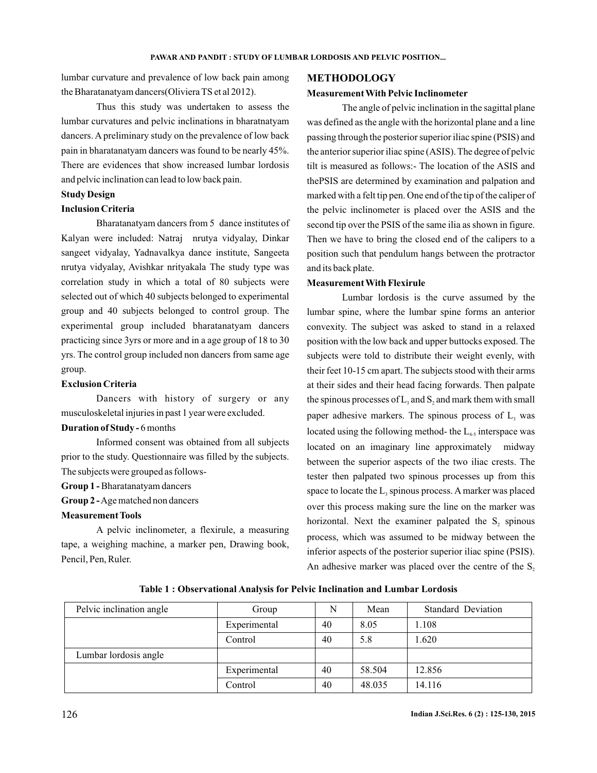lumbar curvature and prevalence of low back pain among the Bharatanatyam dancers(Oliviera TS et al 2012).

Thus this study was undertaken to assess the lumbar curvatures and pelvic inclinations in bharatnatyam dancers. A preliminary study on the prevalence of low back pain in bharatanatyam dancers was found to be nearly 45%. There are evidences that show increased lumbar lordosis and pelvic inclination can lead to low back pain.

### **Study Design**

# **Inclusion Criteria**

Bharatanatyam dancers from 5 dance institutes of Kalyan were included: Natraj nrutya vidyalay, Dinkar sangeet vidyalay, Yadnavalkya dance institute, Sangeeta nrutya vidyalay, Avishkar nrityakala The study type was correlation study in which a total of 80 subjects were selected out of which 40 subjects belonged to experimental group and 40 subjects belonged to control group. The experimental group included bharatanatyam dancers practicing since 3yrs or more and in a age group of 18 to 30 yrs. The control group included non dancers from same age group.

#### **Exclusion Criteria**

Dancers with history of surgery or any musculoskeletal injuries in past 1 year were excluded.

#### **Duration of Study -**6 months

Informed consent was obtained from all subjects prior to the study. Questionnaire was filled by the subjects. The subjects were grouped as follows-

**Group 1 - Bharatanatyam dancers** 

Group 2 - Age matched non dancers

#### **Measurement Tools**

A pelvic inclinometer, a flexirule, a measuring tape, a weighing machine, a marker pen, Drawing book, Pencil, Pen, Ruler.

# **METHODOLOGY**

## **Measurement With Pelvic Inclinometer**

The angle of pelvic inclination in the sagittal plane was defined as the angle with the horizontal plane and a line passing through the posterior superior iliac spine (PSIS) and the anterior superior iliac spine (ASIS). The degree of pelvic tilt is measured as follows:- The location of the ASIS and thePSIS are determined by examination and palpation and marked with a felt tip pen. One end of the tip of the caliper of the pelvic inclinometer is placed over the ASIS and the second tip over the PSIS of the same ilia as shown in figure. Then we have to bring the closed end of the calipers to a position such that pendulum hangs between the protractor and its back plate.

#### **Measurement With Flexirule**

Lumbar lordosis is the curve assumed by the lumbar spine, where the lumbar spine forms an anterior convexity. The subject was asked to stand in a relaxed position with the low back and upper buttocks exposed. The subjects were told to distribute their weight evenly, with their feet 10-15 cm apart. The subjects stood with their arms at their sides and their head facing forwards. Then palpate the spinous processes of  $L_3$  and  $S_2$  and mark them with small paper adhesive markers. The spinous process of  $L<sub>3</sub>$  was located using the following method- the  $L_{4,5}$  interspace was located on an imaginary line approximately midway between the superior aspects of the two iliac crests. The tester then palpated two spinous processes up from this space to locate the  $L_3$  spinous process. A marker was placed over this process making sure the line on the marker was horizontal. Next the examiner palpated the  $S_2$  spinous process, which was assumed to be midway between the inferior aspects of the posterior superior iliac spine (PSIS). An adhesive marker was placed over the centre of the  $S_2$ 

|  |  | Table 1: Observational Analysis for Pelvic Inclination and Lumbar Lordosis |  |  |  |  |  |  |  |
|--|--|----------------------------------------------------------------------------|--|--|--|--|--|--|--|
|--|--|----------------------------------------------------------------------------|--|--|--|--|--|--|--|

| Pelvic inclination angle | Group        | N  | Mean   | <b>Standard Deviation</b> |
|--------------------------|--------------|----|--------|---------------------------|
|                          | Experimental | 40 | 8.05   | 1.108                     |
|                          | Control      | 40 | 5.8    | 1.620                     |
| Lumbar lordosis angle    |              |    |        |                           |
|                          | Experimental | 40 | 58.504 | 12.856                    |
|                          | Control      | 40 | 48.035 | 14.116                    |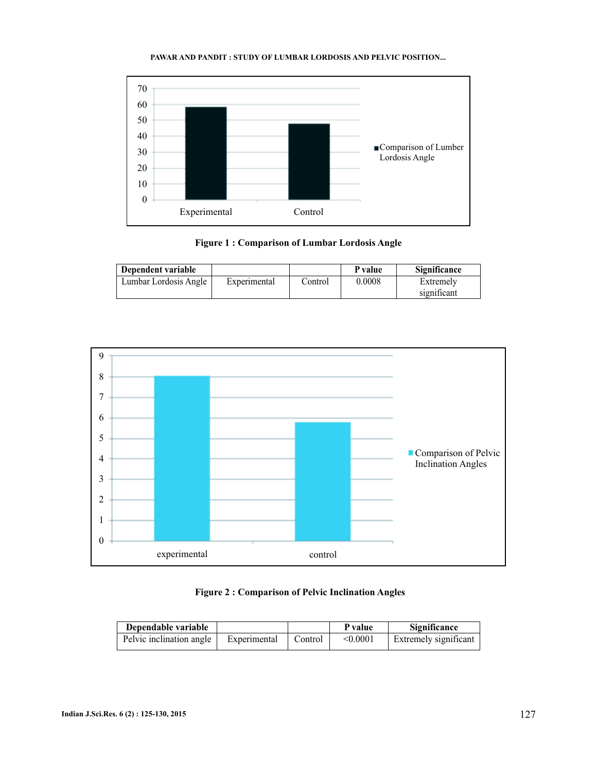#### PAWAR AND PANDIT : STUDY OF LUMBAR LORDOSIS AND PELVIC POSITION...



**Figure 1 : Comparison of Lumbar Lordosis Angle**

| Dependent variable    |              |         | P value | <b>Significance</b> |
|-----------------------|--------------|---------|---------|---------------------|
| Lumbar Lordosis Angle | Experimental | ∵ontrol | 0.0008  | Extremely           |
|                       |              |         |         | significant         |





| Dependable variable      |              |         | P value  | <b>Significance</b>          |
|--------------------------|--------------|---------|----------|------------------------------|
| Pelvic inclination angle | Experimental | Control | < 0.0001 | <b>Extremely significant</b> |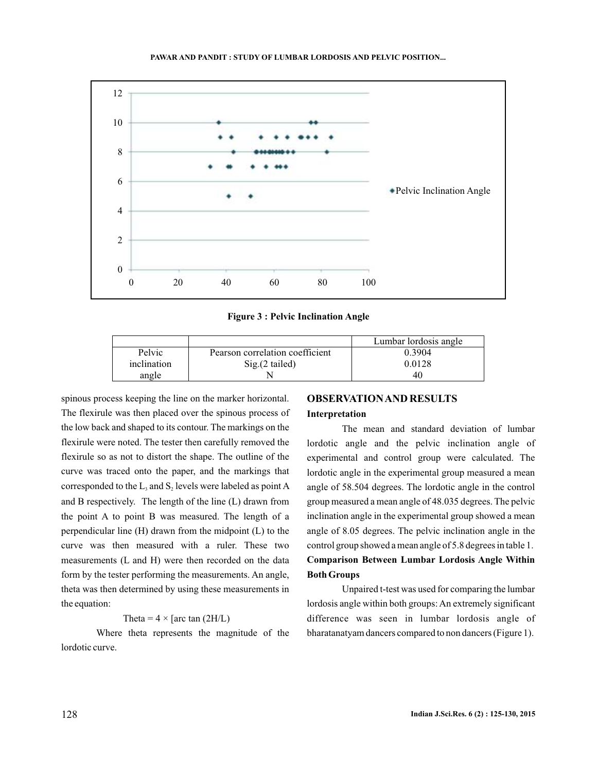#### **PAWAR AND PANDIT : STUDY OF LUMBAR LORDOSIS AND PELVIC POSITION...**



**Figure 3 : Pelvic Inclination Angle**

|             |                                 | Lumbar lordosis angle |
|-------------|---------------------------------|-----------------------|
| Pelvic      | Pearson correlation coefficient | 0.3904                |
| inclination | $Sig(2$ tailed)                 | 0.0128                |
| angle       |                                 | 40                    |

spinous process keeping the line on the marker horizontal. The flexirule was then placed over the spinous process of the low back and shaped to its contour. The markings on the flexirule were noted. The tester then carefully removed the flexirule so as not to distort the shape. The outline of the curve was traced onto the paper, and the markings that corresponded to the  $L_3$  and  $S_2$  levels were labeled as point A and B respectively. The length of the line (L) drawn from the point A to point B was measured. The length of a perpendicular line (H) drawn from the midpoint (L) to the curve was then measured with a ruler. These two measurements (L and H) were then recorded on the data form by the tester performing the measurements. An angle, theta was then determined by using these measurements in the equation:

## Theta =  $4 \times$  [arc tan (2H/L)

Where theta represents the magnitude of the lordotic curve.

# **OBSERVATIONAND RESULTS Interpretation**

The mean and standard deviation of lumbar lordotic angle and the pelvic inclination angle of experimental and control group were calculated. The lordotic angle in the experimental group measured a mean angle of 58.504 degrees. The lordotic angle in the control group measured a mean angle of 48.035 degrees. The pelvic inclination angle in the experimental group showed a mean angle of 8.05 degrees. The pelvic inclination angle in the control group showed a mean angle of 5.8 degrees in table 1. **Comparison Between Lumbar Lordosis Angle Within Both Groups**

Unpaired t-test was used for comparing the lumbar lordosis angle within both groups: An extremely significant difference was seen in lumbar lordosis angle of bharatanatyam dancers compared to non dancers (Figure 1).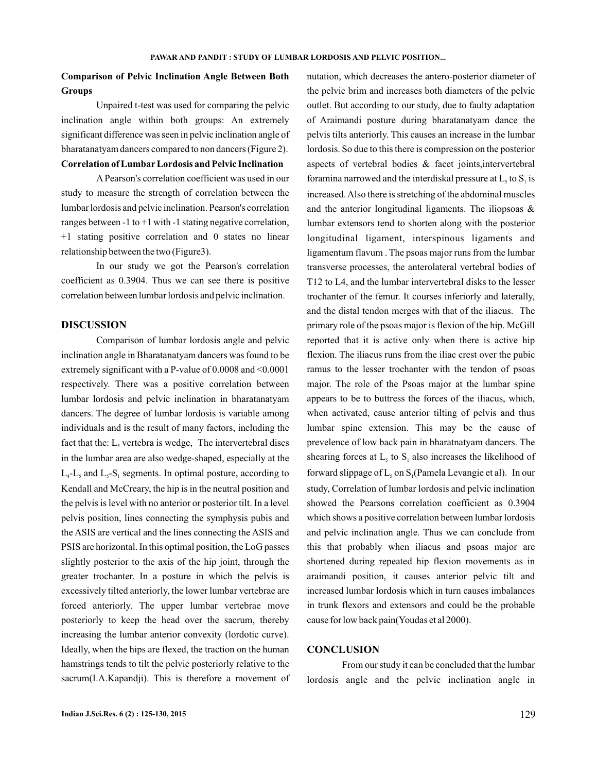# **Comparison of Pelvic Inclination Angle Between Both Groups**

**Correlation of Lumbar Lordosis and Pelvic Inclination** Unpaired t-test was used for comparing the pelvic inclination angle within both groups: An extremely significant difference was seen in pelvic inclination angle of bharatanatyam dancers compared to non dancers (Figure 2) .

A Pearson's correlation coefficient was used in our study to measure the strength of correlation between the lumbar lordosis and pelvic inclination. Pearson's correlation ranges between -1 to  $+1$  with -1 stating negative correlation, +1 stating positive correlation and 0 states no linear relationship between the two (Figure3) .

In our study we got the Pearson's correlation coefficient as 0.3904. Thus we can see there is positive correlation between lumbar lordosis and pelvic inclination.

### **DISCUSSION**

Comparison of lumbar lordosis angle and pelvic inclination angle in Bharatanatyam dancers was found to be extremely significant with a P-value of 0.0008 and <0.0001 respectively. There was a positive correlation between lumbar lordosis and pelvic inclination in bharatanatyam dancers. The degree of lumbar lordosis is variable among individuals and is the result of many factors, including the fact that the:  $L<sub>s</sub>$  vertebra is wedge, The intervertebral discs in the lumbar area are also wedge-shaped, especially at the  $L_4$ - $L_5$  and  $L_5$ - $S_1$  segments. In optimal posture, according to Kendall and McCreary, the hip is in the neutral position and the pelvis is level with no anterior or posterior tilt. In a level pelvis position, lines connecting the symphysis pubis and the ASIS are vertical and the lines connecting the ASIS and PSIS are horizontal. In this optimal position, the LoG passes slightly posterior to the axis of the hip joint, through the greater trochanter. In a posture in which the pelvis is excessively tilted anteriorly, the lower lumbar vertebrae are forced anteriorly. The upper lumbar vertebrae move posteriorly to keep the head over the sacrum, thereby increasing the lumbar anterior convexity (lordotic curve). Ideally, when the hips are flexed, the traction on the human hamstrings tends to tilt the pelvic posteriorly relative to the sacrum(I.A.Kapandji). This is therefore a movement of nutation, which decreases the antero-posterior diameter of the pelvic brim and increases both diameters of the pelvic outlet. But according to our study, due to faulty adaptation of Araimandi posture during bharatanatyam dance the pelvis tilts anteriorly. This causes an increase in the lumbar lordosis. So due to this there is compression on the posterior aspects of vertebral bodies & facet joints,intervertebral foramina narrowed and the interdiskal pressure at  $L<sub>s</sub>$  to  $S<sub>1</sub>$  is increased. Also there is stretching of the abdominal muscles and the anterior longitudinal ligaments. The iliopsoas & lumbar extensors tend to shorten along with the posterior longitudinal ligament, interspinous ligaments and ligamentum flavum . The psoas major runs from the lumbar transverse processes, the anterolateral vertebral bodies of T12 to L4, and the lumbar intervertebral disks to the lesser trochanter of the femur. It courses inferiorly and laterally, and the distal tendon merges with that of the iliacus. The primary role of the psoas major is flexion of the hip. McGill reported that it is active only when there is active hip flexion. The iliacus runs from the iliac crest over the pubic ramus to the lesser trochanter with the tendon of psoas major. The role of the Psoas major at the lumbar spine appears to be to buttress the forces of the iliacus, which, when activated, cause anterior tilting of pelvis and thus lumbar spine extension. This may be the cause of prevelence of low back pain in bharatnatyam dancers. The shearing forces at  $L<sub>5</sub>$  to  $S<sub>1</sub>$  also increases the likelihood of forward slippage of  $L_5$  on  $S_1$ (Pamela Levangie et al). In our study, Correlation of lumbar lordosis and pelvic inclination showed the Pearsons correlation coefficient as 0.3904 which shows a positive correlation between lumbar lordosis and pelvic inclination angle. Thus we can conclude from this that probably when iliacus and psoas major are shortened during repeated hip flexion movements as in araimandi position, it causes anterior pelvic tilt and increased lumbar lordosis which in turn causes imbalances in trunk flexors and extensors and could be the probable cause for low back pain(Youdas et al 2000).

## **CONCLUSION**

From our study it can be concluded that the lumbar lordosis angle and the pelvic inclination angle in